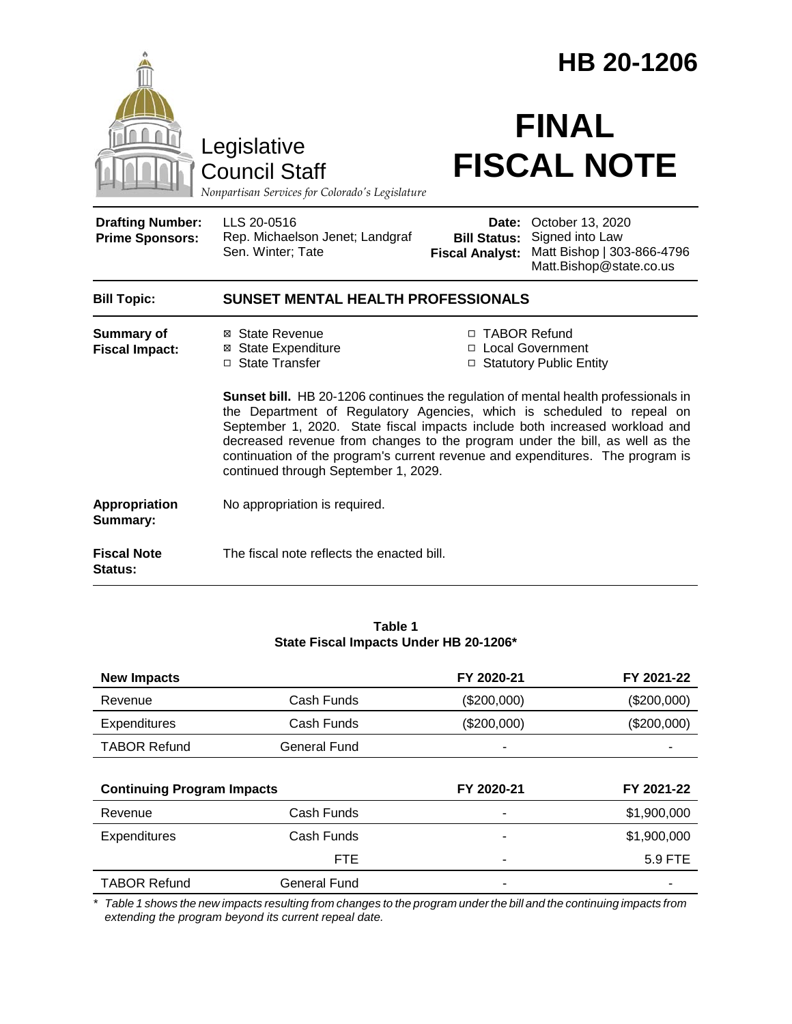|                                                   |                                                                                                                                                                                                                                                                                       | HB 20-1206                                             |                                                                                              |  |  |
|---------------------------------------------------|---------------------------------------------------------------------------------------------------------------------------------------------------------------------------------------------------------------------------------------------------------------------------------------|--------------------------------------------------------|----------------------------------------------------------------------------------------------|--|--|
|                                                   | Legislative<br><b>Council Staff</b><br>Nonpartisan Services for Colorado's Legislature                                                                                                                                                                                                |                                                        | <b>FINAL</b><br><b>FISCAL NOTE</b>                                                           |  |  |
| <b>Drafting Number:</b><br><b>Prime Sponsors:</b> | LLS 20-0516<br>Rep. Michaelson Jenet; Landgraf<br>Sen. Winter; Tate                                                                                                                                                                                                                   | Date:<br><b>Bill Status:</b><br><b>Fiscal Analyst:</b> | October 13, 2020<br>Signed into Law<br>Matt Bishop   303-866-4796<br>Matt.Bishop@state.co.us |  |  |
| <b>Bill Topic:</b>                                | SUNSET MENTAL HEALTH PROFESSIONALS                                                                                                                                                                                                                                                    |                                                        |                                                                                              |  |  |
| <b>Summary of</b><br><b>Fiscal Impact:</b>        | ⊠ State Revenue<br>⊠ State Expenditure<br>□ State Transfer<br>Sunset bill. HB 20-1206 continues the regulation of mental health professionals in<br>the Department of Regulatory Agencies, which is scheduled to repeal on                                                            | □ TABOR Refund                                         | □ Local Government<br>□ Statutory Public Entity                                              |  |  |
|                                                   | September 1, 2020. State fiscal impacts include both increased workload and<br>decreased revenue from changes to the program under the bill, as well as the<br>continuation of the program's current revenue and expenditures. The program is<br>continued through September 1, 2029. |                                                        |                                                                                              |  |  |
| <b>Appropriation</b><br>Summary:                  | No appropriation is required.                                                                                                                                                                                                                                                         |                                                        |                                                                                              |  |  |
| <b>Fiscal Note</b><br>Status:                     | The fiscal note reflects the enacted bill.                                                                                                                                                                                                                                            |                                                        |                                                                                              |  |  |

#### **Table 1 State Fiscal Impacts Under HB 20-1206\***

| <b>New Impacts</b>                |                     | FY 2020-21  | FY 2021-22  |
|-----------------------------------|---------------------|-------------|-------------|
| Revenue                           | Cash Funds          | (\$200,000) | (\$200,000) |
| <b>Expenditures</b>               | Cash Funds          | (\$200,000) | (\$200,000) |
| <b>TABOR Refund</b>               | <b>General Fund</b> |             |             |
|                                   |                     |             |             |
|                                   |                     |             |             |
| <b>Continuing Program Impacts</b> |                     | FY 2020-21  | FY 2021-22  |
| Revenue                           | Cash Funds          |             | \$1,900,000 |
| Expenditures                      | Cash Funds          |             | \$1,900,000 |
|                                   | <b>FTE</b>          |             | 5.9 FTE     |

*\* Table 1 shows the new impacts resulting from changes to the program under the bill and the continuing impacts from extending the program beyond its current repeal date.*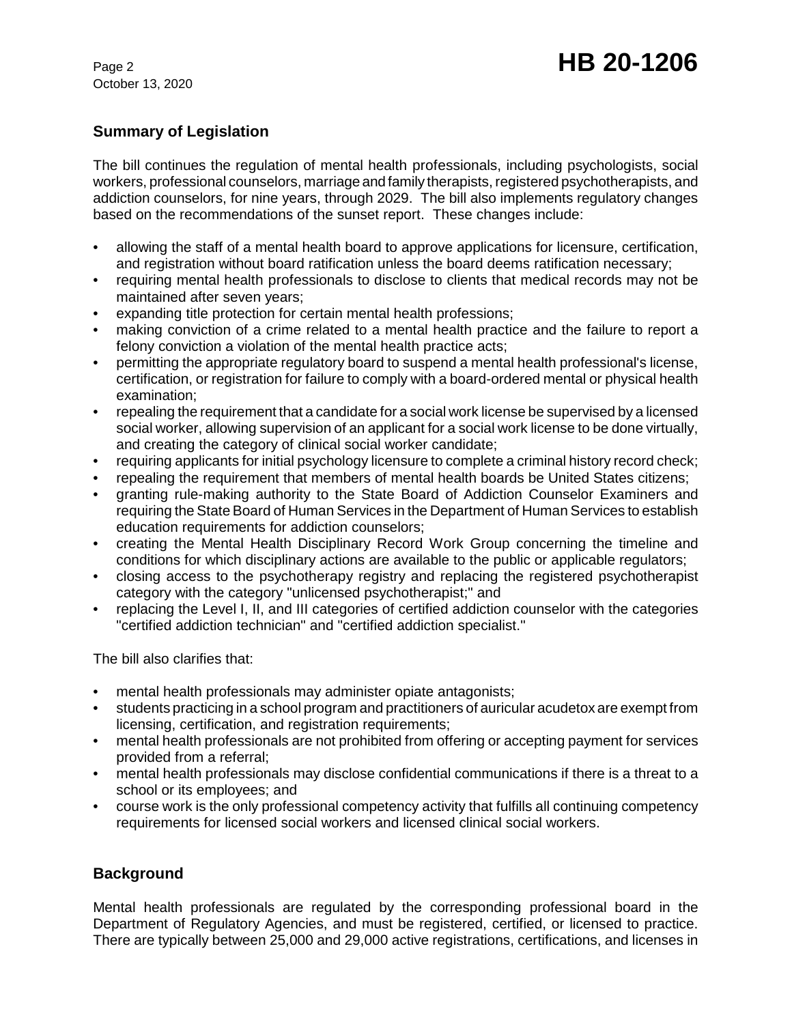October 13, 2020

# **Summary of Legislation**

The bill continues the regulation of mental health professionals, including psychologists, social workers, professional counselors, marriage and family therapists, registered psychotherapists, and addiction counselors, for nine years, through 2029. The bill also implements regulatory changes based on the recommendations of the sunset report. These changes include:

- allowing the staff of a mental health board to approve applications for licensure, certification, and registration without board ratification unless the board deems ratification necessary;
- requiring mental health professionals to disclose to clients that medical records may not be maintained after seven years;
- expanding title protection for certain mental health professions;
- making conviction of a crime related to a mental health practice and the failure to report a felony conviction a violation of the mental health practice acts;
- permitting the appropriate regulatory board to suspend a mental health professional's license, certification, or registration for failure to comply with a board-ordered mental or physical health examination;
- repealing the requirement that a candidate for a social work license be supervised by a licensed social worker, allowing supervision of an applicant for a social work license to be done virtually, and creating the category of clinical social worker candidate;
- requiring applicants for initial psychology licensure to complete a criminal history record check;
- repealing the requirement that members of mental health boards be United States citizens;
- granting rule-making authority to the State Board of Addiction Counselor Examiners and requiring the State Board of Human Services in the Department of Human Services to establish education requirements for addiction counselors;
- creating the Mental Health Disciplinary Record Work Group concerning the timeline and conditions for which disciplinary actions are available to the public or applicable regulators;
- closing access to the psychotherapy registry and replacing the registered psychotherapist category with the category "unlicensed psychotherapist;" and
- replacing the Level I, II, and III categories of certified addiction counselor with the categories "certified addiction technician" and "certified addiction specialist."

The bill also clarifies that:

- mental health professionals may administer opiate antagonists;
- students practicing in a school program and practitioners of auricular acudetox are exempt from licensing, certification, and registration requirements;
- mental health professionals are not prohibited from offering or accepting payment for services provided from a referral;
- mental health professionals may disclose confidential communications if there is a threat to a school or its employees; and
- course work is the only professional competency activity that fulfills all continuing competency requirements for licensed social workers and licensed clinical social workers.

# **Background**

Mental health professionals are regulated by the corresponding professional board in the Department of Regulatory Agencies, and must be registered, certified, or licensed to practice. There are typically between 25,000 and 29,000 active registrations, certifications, and licenses in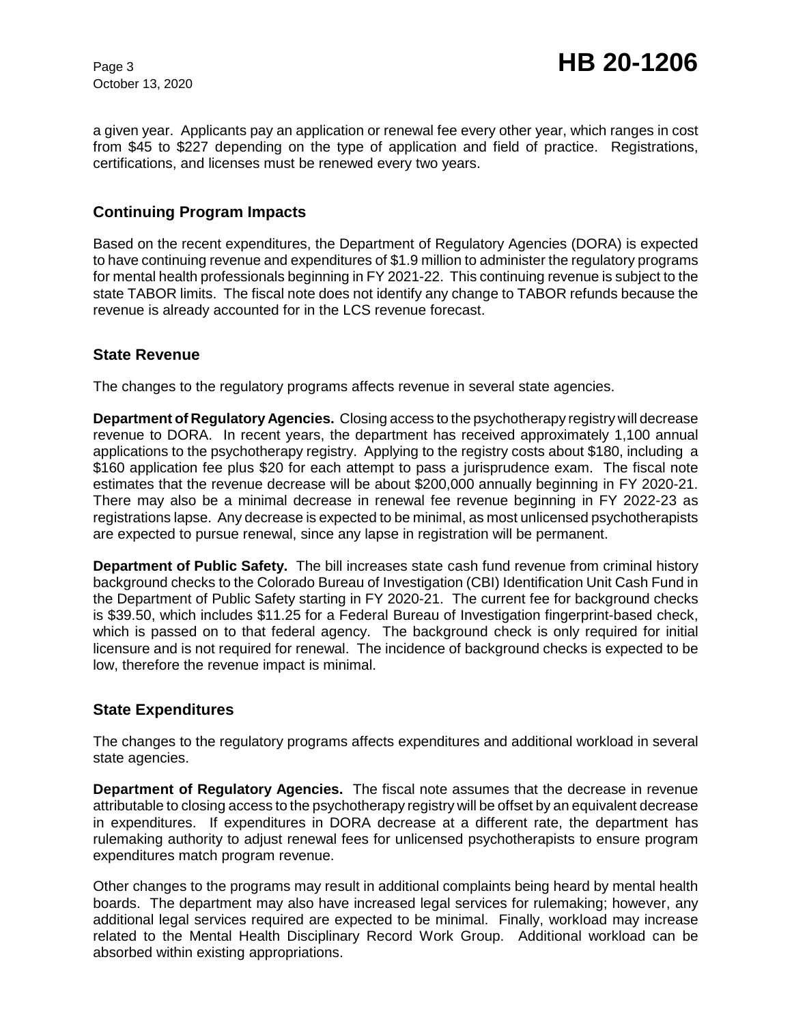October 13, 2020

a given year. Applicants pay an application or renewal fee every other year, which ranges in cost from \$45 to \$227 depending on the type of application and field of practice. Registrations, certifications, and licenses must be renewed every two years.

## **Continuing Program Impacts**

Based on the recent expenditures, the Department of Regulatory Agencies (DORA) is expected to have continuing revenue and expenditures of \$1.9 million to administer the regulatory programs for mental health professionals beginning in FY 2021-22. This continuing revenue is subject to the state TABOR limits. The fiscal note does not identify any change to TABOR refunds because the revenue is already accounted for in the LCS revenue forecast.

### **State Revenue**

The changes to the regulatory programs affects revenue in several state agencies.

**Department of Regulatory Agencies.** Closing access to the psychotherapy registry will decrease revenue to DORA. In recent years, the department has received approximately 1,100 annual applications to the psychotherapy registry. Applying to the registry costs about \$180, including a \$160 application fee plus \$20 for each attempt to pass a jurisprudence exam. The fiscal note estimates that the revenue decrease will be about \$200,000 annually beginning in FY 2020-21. There may also be a minimal decrease in renewal fee revenue beginning in FY 2022-23 as registrations lapse. Any decrease is expected to be minimal, as most unlicensed psychotherapists are expected to pursue renewal, since any lapse in registration will be permanent.

**Department of Public Safety.** The bill increases state cash fund revenue from criminal history background checks to the Colorado Bureau of Investigation (CBI) Identification Unit Cash Fund in the Department of Public Safety starting in FY 2020-21. The current fee for background checks is \$39.50, which includes \$11.25 for a Federal Bureau of Investigation fingerprint-based check, which is passed on to that federal agency. The background check is only required for initial licensure and is not required for renewal. The incidence of background checks is expected to be low, therefore the revenue impact is minimal.

### **State Expenditures**

The changes to the regulatory programs affects expenditures and additional workload in several state agencies.

**Department of Regulatory Agencies.** The fiscal note assumes that the decrease in revenue attributable to closing access to the psychotherapy registry will be offset by an equivalent decrease in expenditures. If expenditures in DORA decrease at a different rate, the department has rulemaking authority to adjust renewal fees for unlicensed psychotherapists to ensure program expenditures match program revenue.

Other changes to the programs may result in additional complaints being heard by mental health boards. The department may also have increased legal services for rulemaking; however, any additional legal services required are expected to be minimal. Finally, workload may increase related to the Mental Health Disciplinary Record Work Group. Additional workload can be absorbed within existing appropriations.